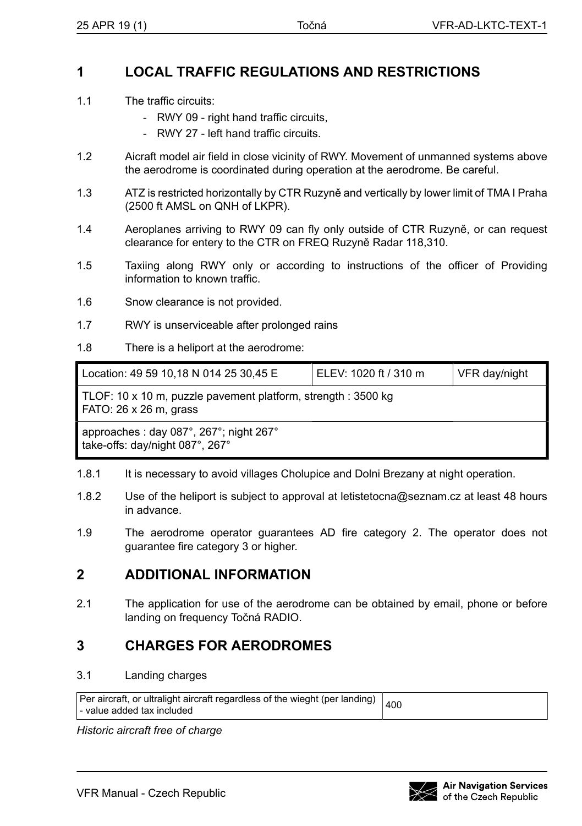## **1 LOCAL TRAFFIC REGULATIONS AND RESTRICTIONS**

- 1.1 The traffic circuits:
	- RWY 09 right hand traffic circuits,
	- RWY 27 left hand traffic circuits.
- 1.2 Aicraft model air field in close vicinity of RWY. Movement of unmanned systems above the aerodrome is coordinated during operation at the aerodrome. Be careful.
- 1.3 ATZ is restricted horizontally by CTR Ruzyně and vertically by lower limit of TMA I Praha (2500 ft AMSL on QNH of LKPR).
- 1.4 Aeroplanes arriving to RWY 09 can fly only outside of CTR Ruzyně, or can request clearance for entery to the CTR on FREQ Ruzyně Radar 118,310.
- 1.5 Taxiing along RWY only or according to instructions of the officer of Providing information to known traffic.
- 1.6 Snow clearance is not provided.
- 1.7 RWY is unserviceable after prolonged rains
- 1.8 There is a heliport at the aerodrome:

| Location: 49 59 10,18 N 014 25 30,45 E                                                  | ELEV: 1020 ft / 310 m | VFR day/night |  |  |
|-----------------------------------------------------------------------------------------|-----------------------|---------------|--|--|
| TLOF: 10 x 10 m, puzzle pavement platform, strength : 3500 kg<br>FATO: 26 x 26 m, grass |                       |               |  |  |
| approaches: day 087°, 267°; night 267°<br>take-offs: day/night 087°, 267°               |                       |               |  |  |

- 1.8.1 It is necessary to avoid villages Cholupice and Dolni Brezany at night operation.
- 1.8.2 Use of the heliport is subject to approval at letistetocna@seznam.cz at least 48 hours in advance.
- 1.9 The aerodrome operator guarantees AD fire category 2. The operator does not guarantee fire category 3 or higher.

## **2 ADDITIONAL INFORMATION**

2.1 The application for use of the aerodrome can be obtained by email, phone or before landing on frequency Točná RADIO.

## **3 CHARGES FOR AERODROMES**

## 3.1 Landing charges

| Per aircraft, or ultralight aircraft regardless of the wieght (per landing) $\vert_{400}$ |  |
|-------------------------------------------------------------------------------------------|--|
| l - value added tax included                                                              |  |

*Historic aircraft free of charge*